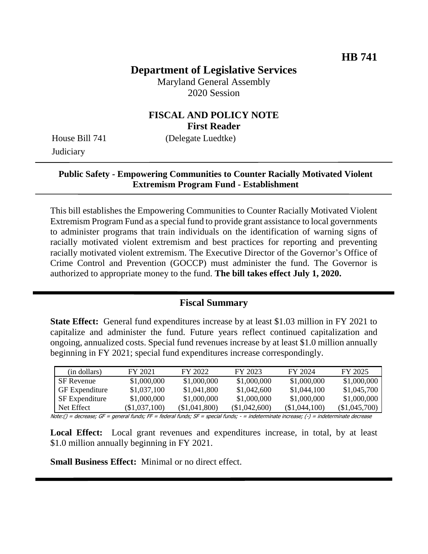# **Department of Legislative Services**

Maryland General Assembly 2020 Session

## **FISCAL AND POLICY NOTE First Reader**

**Judiciary** 

House Bill 741 (Delegate Luedtke)

### **Public Safety - Empowering Communities to Counter Racially Motivated Violent Extremism Program Fund - Establishment**

This bill establishes the Empowering Communities to Counter Racially Motivated Violent Extremism Program Fund as a special fund to provide grant assistance to local governments to administer programs that train individuals on the identification of warning signs of racially motivated violent extremism and best practices for reporting and preventing racially motivated violent extremism. The Executive Director of the Governor's Office of Crime Control and Prevention (GOCCP) must administer the fund. The Governor is authorized to appropriate money to the fund. **The bill takes effect July 1, 2020.**

### **Fiscal Summary**

**State Effect:** General fund expenditures increase by at least \$1.03 million in FY 2021 to capitalize and administer the fund. Future years reflect continued capitalization and ongoing, annualized costs. Special fund revenues increase by at least \$1.0 million annually beginning in FY 2021; special fund expenditures increase correspondingly.

| (in dollars)          | FY 2021       | FY 2022       | FY 2023       | FY 2024       | FY 2025       |
|-----------------------|---------------|---------------|---------------|---------------|---------------|
| <b>SF</b> Revenue     | \$1,000,000   | \$1,000,000   | \$1,000,000   | \$1,000,000   | \$1,000,000   |
| <b>GF</b> Expenditure | \$1,037,100   | \$1,041,800   | \$1,042,600   | \$1,044,100   | \$1,045,700   |
| SF Expenditure        | \$1,000,000   | \$1,000,000   | \$1,000,000   | \$1,000,000   | \$1,000,000   |
| Net Effect            | (\$1.037.100) | (\$1,041,800) | (\$1,042,600) | (\$1,044,100) | (\$1,045,700) |

Note:() = decrease; GF = general funds; FF = federal funds; SF = special funds; - = indeterminate increase; (-) = indeterminate decrease

Local Effect: Local grant revenues and expenditures increase, in total, by at least \$1.0 million annually beginning in FY 2021.

**Small Business Effect:** Minimal or no direct effect.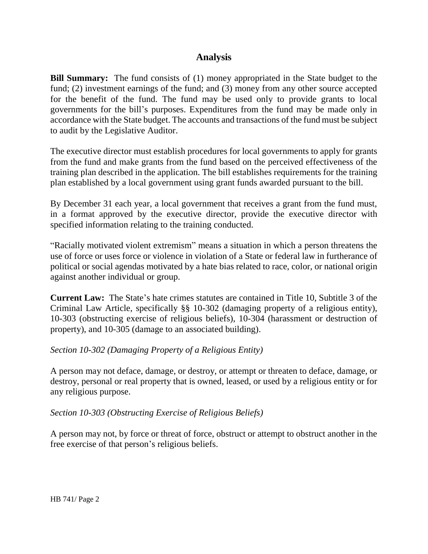## **Analysis**

**Bill Summary:** The fund consists of (1) money appropriated in the State budget to the fund; (2) investment earnings of the fund; and (3) money from any other source accepted for the benefit of the fund. The fund may be used only to provide grants to local governments for the bill's purposes. Expenditures from the fund may be made only in accordance with the State budget. The accounts and transactions of the fund must be subject to audit by the Legislative Auditor.

The executive director must establish procedures for local governments to apply for grants from the fund and make grants from the fund based on the perceived effectiveness of the training plan described in the application. The bill establishes requirements for the training plan established by a local government using grant funds awarded pursuant to the bill.

By December 31 each year, a local government that receives a grant from the fund must, in a format approved by the executive director, provide the executive director with specified information relating to the training conducted.

"Racially motivated violent extremism" means a situation in which a person threatens the use of force or uses force or violence in violation of a State or federal law in furtherance of political or social agendas motivated by a hate bias related to race, color, or national origin against another individual or group.

**Current Law:** The State's hate crimes statutes are contained in Title 10, Subtitle 3 of the Criminal Law Article, specifically §§ 10-302 (damaging property of a religious entity), 10-303 (obstructing exercise of religious beliefs), 10-304 (harassment or destruction of property), and 10-305 (damage to an associated building).

### *Section 10-302 (Damaging Property of a Religious Entity)*

A person may not deface, damage, or destroy, or attempt or threaten to deface, damage, or destroy, personal or real property that is owned, leased, or used by a religious entity or for any religious purpose.

### *Section 10-303 (Obstructing Exercise of Religious Beliefs)*

A person may not, by force or threat of force, obstruct or attempt to obstruct another in the free exercise of that person's religious beliefs.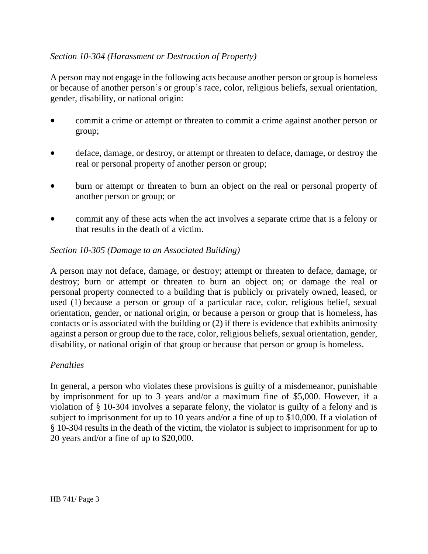## *Section 10-304 (Harassment or Destruction of Property)*

A person may not engage in the following acts because another person or group is homeless or because of another person's or group's race, color, religious beliefs, sexual orientation, gender, disability, or national origin:

- commit a crime or attempt or threaten to commit a crime against another person or group;
- deface, damage, or destroy, or attempt or threaten to deface, damage, or destroy the real or personal property of another person or group;
- burn or attempt or threaten to burn an object on the real or personal property of another person or group; or
- commit any of these acts when the act involves a separate crime that is a felony or that results in the death of a victim.

### *Section 10-305 (Damage to an Associated Building)*

A person may not deface, damage, or destroy; attempt or threaten to deface, damage, or destroy; burn or attempt or threaten to burn an object on; or damage the real or personal property connected to a building that is publicly or privately owned, leased, or used (1) because a person or group of a particular race, color, religious belief, sexual orientation, gender, or national origin, or because a person or group that is homeless, has contacts or is associated with the building or (2) if there is evidence that exhibits animosity against a person or group due to the race, color, religious beliefs, sexual orientation, gender, disability, or national origin of that group or because that person or group is homeless.

### *Penalties*

In general, a person who violates these provisions is guilty of a misdemeanor, punishable by imprisonment for up to 3 years and/or a maximum fine of \$5,000. However, if a violation of § 10-304 involves a separate felony, the violator is guilty of a felony and is subject to imprisonment for up to 10 years and/or a fine of up to \$10,000. If a violation of § 10-304 results in the death of the victim, the violator is subject to imprisonment for up to 20 years and/or a fine of up to \$20,000.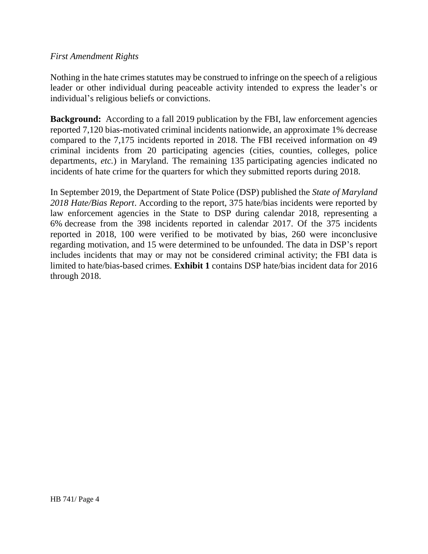#### *First Amendment Rights*

Nothing in the hate crimes statutes may be construed to infringe on the speech of a religious leader or other individual during peaceable activity intended to express the leader's or individual's religious beliefs or convictions.

**Background:** According to a fall 2019 publication by the FBI, law enforcement agencies reported 7,120 bias-motivated criminal incidents nationwide, an approximate 1% decrease compared to the 7,175 incidents reported in 2018. The FBI received information on 49 criminal incidents from 20 participating agencies (cities, counties, colleges, police departments, *etc.*) in Maryland. The remaining 135 participating agencies indicated no incidents of hate crime for the quarters for which they submitted reports during 2018.

In September 2019, the Department of State Police (DSP) published the *State of Maryland 2018 Hate/Bias Report*. According to the report, 375 hate/bias incidents were reported by law enforcement agencies in the State to DSP during calendar 2018, representing a 6% decrease from the 398 incidents reported in calendar 2017. Of the 375 incidents reported in 2018, 100 were verified to be motivated by bias, 260 were inconclusive regarding motivation, and 15 were determined to be unfounded. The data in DSP's report includes incidents that may or may not be considered criminal activity; the FBI data is limited to hate/bias-based crimes. **Exhibit 1** contains DSP hate/bias incident data for 2016 through 2018.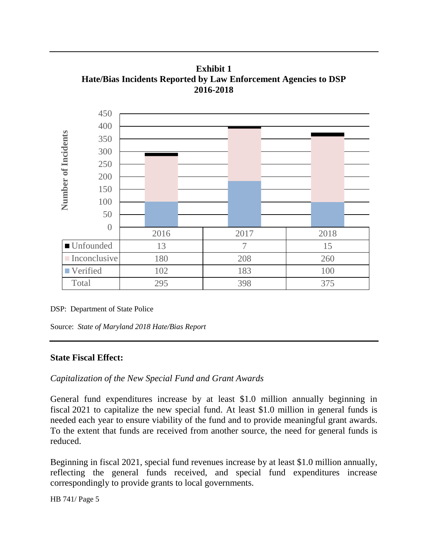**Exhibit 1 Hate/Bias Incidents Reported by Law Enforcement Agencies to DSP 2016-2018**



DSP: Department of State Police

Source: *State of Maryland 2018 Hate/Bias Report*

#### **State Fiscal Effect:**

*Capitalization of the New Special Fund and Grant Awards*

General fund expenditures increase by at least \$1.0 million annually beginning in fiscal 2021 to capitalize the new special fund. At least \$1.0 million in general funds is needed each year to ensure viability of the fund and to provide meaningful grant awards. To the extent that funds are received from another source, the need for general funds is reduced.

Beginning in fiscal 2021, special fund revenues increase by at least \$1.0 million annually, reflecting the general funds received, and special fund expenditures increase correspondingly to provide grants to local governments.

HB 741/ Page 5